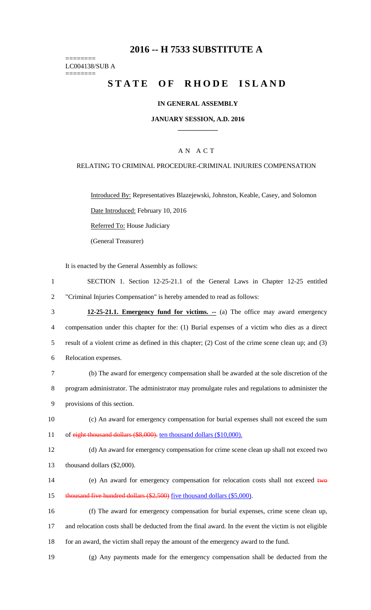# **2016 -- H 7533 SUBSTITUTE A**

======== LC004138/SUB A ========

# STATE OF RHODE ISLAND

#### **IN GENERAL ASSEMBLY**

#### **JANUARY SESSION, A.D. 2016 \_\_\_\_\_\_\_\_\_\_\_\_**

### A N A C T

#### RELATING TO CRIMINAL PROCEDURE-CRIMINAL INJURIES COMPENSATION

Introduced By: Representatives Blazejewski, Johnston, Keable, Casey, and Solomon Date Introduced: February 10, 2016

Referred To: House Judiciary

(General Treasurer)

It is enacted by the General Assembly as follows:

- 1 SECTION 1. Section 12-25-21.1 of the General Laws in Chapter 12-25 entitled 2 "Criminal Injuries Compensation" is hereby amended to read as follows:
- 3 **12-25-21.1. Emergency fund for victims. --** (a) The office may award emergency 4 compensation under this chapter for the: (1) Burial expenses of a victim who dies as a direct 5 result of a violent crime as defined in this chapter; (2) Cost of the crime scene clean up; and (3) 6 Relocation expenses.
- 7 (b) The award for emergency compensation shall be awarded at the sole discretion of the 8 program administrator. The administrator may promulgate rules and regulations to administer the 9 provisions of this section.
- 10 (c) An award for emergency compensation for burial expenses shall not exceed the sum 11 of eight thousand dollars (\$8,000). ten thousand dollars (\$10,000).
- 12 (d) An award for emergency compensation for crime scene clean up shall not exceed two 13 thousand dollars (\$2,000).
- 14 (e) An award for emergency compensation for relocation costs shall not exceed two 15 thousand five hundred dollars (\$2,500) five thousand dollars (\$5,000).
- 16 (f) The award for emergency compensation for burial expenses, crime scene clean up, 17 and relocation costs shall be deducted from the final award. In the event the victim is not eligible 18 for an award, the victim shall repay the amount of the emergency award to the fund.
- 19 (g) Any payments made for the emergency compensation shall be deducted from the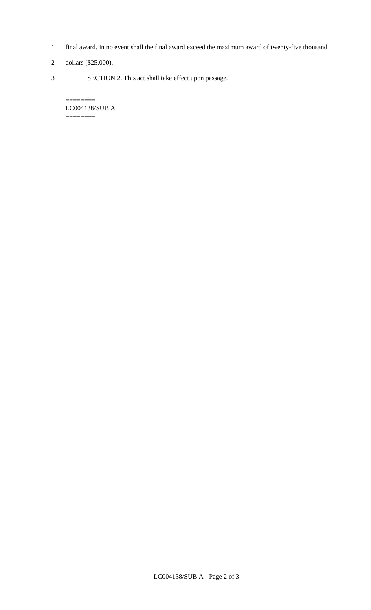- 1 final award. In no event shall the final award exceed the maximum award of twenty-five thousand
- 2 dollars (\$25,000).

 $=$ 

3 SECTION 2. This act shall take effect upon passage.

LC004138/SUB A ========